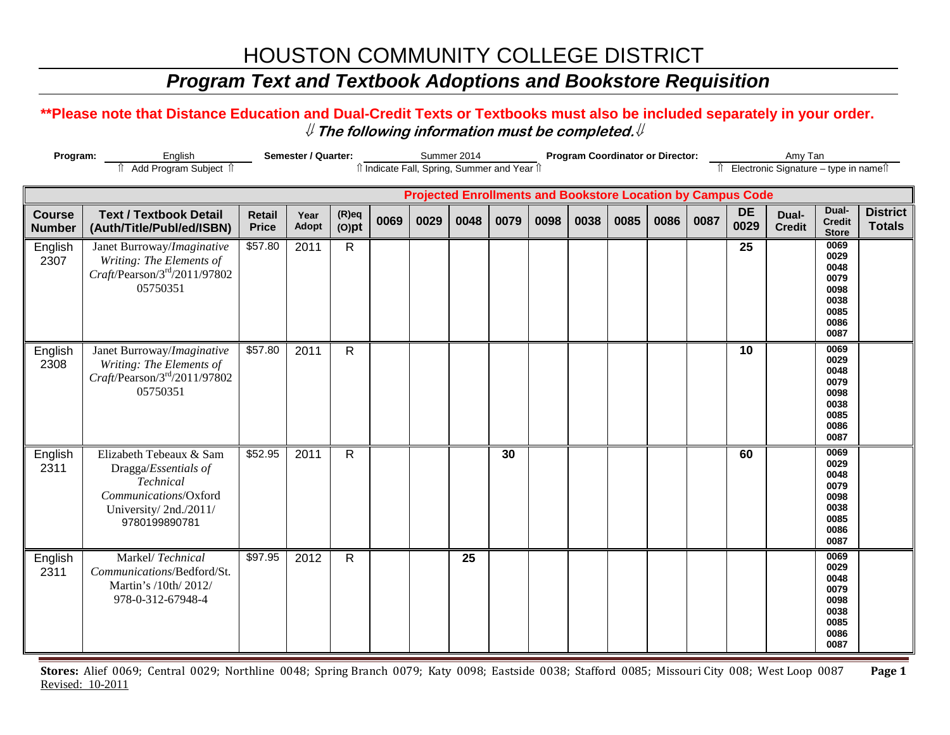#### *Program Text and Textbook Adoptions and Bookstore Requisition*

#### **\*\*Please note that Distance Education and Dual-Credit Texts or Textbooks must also be included separately in your order.**  ⇓ **The following information must be completed.**⇓

| Program:                       | English<br>Add Program Subject 1                                                                                                |                        | Semester / Quarter: |                      |      |      | Summer 2014 | îl Indicate Fall, Spring, Summer and Year 1 |      |      | <b>Program Coordinator or Director:</b> |      |      |                                                                    | Amy Tan<br>Electronic Signature - type in names |                                                                      |                                  |
|--------------------------------|---------------------------------------------------------------------------------------------------------------------------------|------------------------|---------------------|----------------------|------|------|-------------|---------------------------------------------|------|------|-----------------------------------------|------|------|--------------------------------------------------------------------|-------------------------------------------------|----------------------------------------------------------------------|----------------------------------|
|                                |                                                                                                                                 |                        |                     |                      |      |      |             |                                             |      |      |                                         |      |      | <b>Projected Enrollments and Bookstore Location by Campus Code</b> |                                                 |                                                                      |                                  |
| <b>Course</b><br><b>Number</b> | <b>Text / Textbook Detail</b><br>(Auth/Title/Publ/ed/ISBN)                                                                      | Retail<br><b>Price</b> | Year<br>Adopt       | $(R)$ eq<br>$(O)$ pt | 0069 | 0029 | 0048        | 0079                                        | 0098 | 0038 | 0085                                    | 0086 | 0087 | <b>DE</b><br>0029                                                  | Dual-<br><b>Credit</b>                          | Dual-<br><b>Credit</b><br><b>Store</b>                               | <b>District</b><br><b>Totals</b> |
| English<br>2307                | Janet Burroway/Imaginative<br>Writing: The Elements of<br>$Craft$ /Pearson/3 <sup>rd</sup> /2011/97802<br>05750351              | \$57.80                | 2011                | $\mathsf{R}$         |      |      |             |                                             |      |      |                                         |      |      | 25                                                                 |                                                 | 0069<br>0029<br>0048<br>0079<br>0098<br>0038<br>0085<br>0086<br>0087 |                                  |
| English<br>2308                | Janet Burroway/Imaginative<br>Writing: The Elements of<br>$Craft$ /Pearson/3 <sup>rd</sup> /2011/97802<br>05750351              | \$57.80                | 2011                | $\mathsf{R}$         |      |      |             |                                             |      |      |                                         |      |      | 10                                                                 |                                                 | 0069<br>0029<br>0048<br>0079<br>0098<br>0038<br>0085<br>0086<br>0087 |                                  |
| English<br>2311                | Elizabeth Tebeaux & Sam<br>Dragga/Essentials of<br>Technical<br>Communications/Oxford<br>University/2nd./2011/<br>9780199890781 | \$52.95                | 2011                | $\mathsf{R}$         |      |      |             | 30                                          |      |      |                                         |      |      | 60                                                                 |                                                 | 0069<br>0029<br>0048<br>0079<br>0098<br>0038<br>0085<br>0086<br>0087 |                                  |
| English<br>2311                | Markel/Technical<br>Communications/Bedford/St.<br>Martin's /10th/ 2012/<br>978-0-312-67948-4                                    | \$97.95                | 2012                | $\mathsf{R}$         |      |      | 25          |                                             |      |      |                                         |      |      |                                                                    |                                                 | 0069<br>0029<br>0048<br>0079<br>0098<br>0038<br>0085<br>0086<br>0087 |                                  |

**Stores:** Alief 0069; Central 0029; Northline 0048; Spring Branch 0079; Katy 0098; Eastside 0038; Stafford 0085; Missouri City 008; West Loop 0087 **Page 1** Revised: 10-2011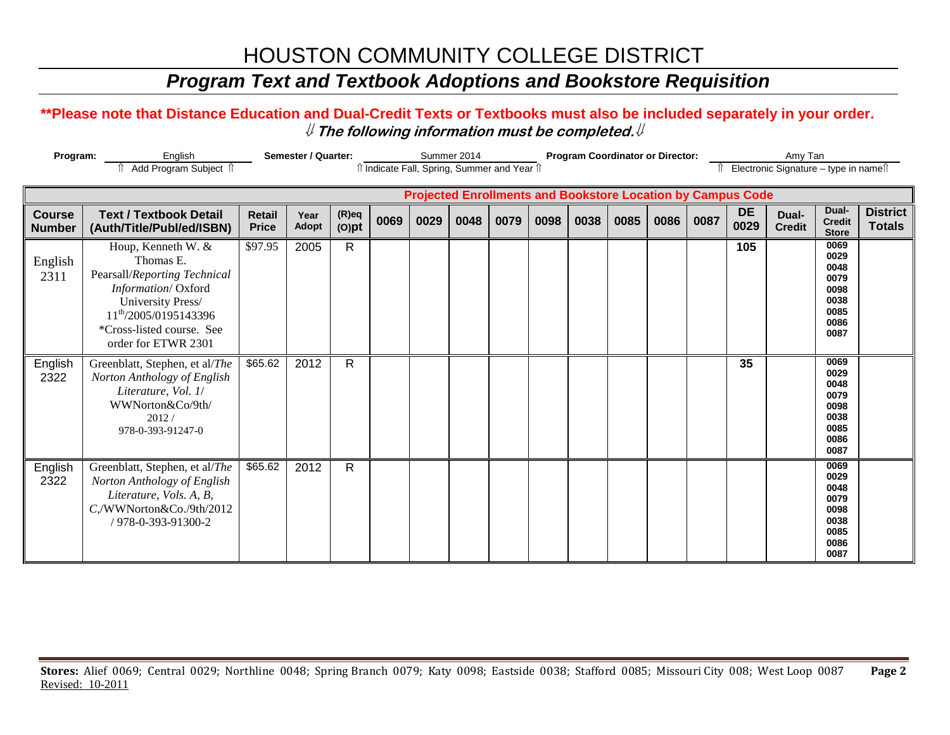#### *Program Text and Textbook Adoptions and Bookstore Requisition*

#### **\*\*Please note that Distance Education and Dual-Credit Texts or Textbooks must also be included separately in your order.**  ⇓ **The following information must be completed.**⇓

| Program:                       | English                                                                                                                                                                                             | <b>Semester / Quarter:</b>    |               |                      | Summer 2014                                |      |      |      | <b>Program Coordinator or Director:</b> |      |      |      | Amy Tan |                                                                    |                                       |                                                                      |                                  |
|--------------------------------|-----------------------------------------------------------------------------------------------------------------------------------------------------------------------------------------------------|-------------------------------|---------------|----------------------|--------------------------------------------|------|------|------|-----------------------------------------|------|------|------|---------|--------------------------------------------------------------------|---------------------------------------|----------------------------------------------------------------------|----------------------------------|
|                                | Add Program Subject 1                                                                                                                                                                               |                               |               |                      | î Indicate Fall, Spring, Summer and Year î |      |      |      |                                         |      |      |      |         |                                                                    | Electronic Signature - type in namest |                                                                      |                                  |
|                                |                                                                                                                                                                                                     |                               |               |                      |                                            |      |      |      |                                         |      |      |      |         | <b>Projected Enrollments and Bookstore Location by Campus Code</b> |                                       |                                                                      |                                  |
| <b>Course</b><br><b>Number</b> | <b>Text / Textbook Detail</b><br>(Auth/Title/Publ/ed/ISBN)                                                                                                                                          | <b>Retail</b><br><b>Price</b> | Year<br>Adopt | $(R)$ eq<br>$(O)$ pt | 0069                                       | 0029 | 0048 | 0079 | 0098                                    | 0038 | 0085 | 0086 | 0087    | <b>DE</b><br>0029                                                  | Dual-<br><b>Credit</b>                | Dual-<br><b>Credit</b><br><b>Store</b>                               | <b>District</b><br><b>Totals</b> |
| English<br>2311                | Houp, Kenneth W. &<br>Thomas E.<br>Pearsall/Reporting Technical<br>Information/Oxford<br>University Press/<br>11 <sup>th</sup> /2005/0195143396<br>*Cross-listed course. See<br>order for ETWR 2301 | \$97.95                       | 2005          | $\mathsf{R}$         |                                            |      |      |      |                                         |      |      |      |         | 105                                                                |                                       | 0069<br>0029<br>0048<br>0079<br>0098<br>0038<br>0085<br>0086<br>0087 |                                  |
| English<br>2322                | Greenblatt, Stephen, et al/The<br>Norton Anthology of English<br>Literature, Vol. 1/<br>WWNorton&Co/9th/<br>2012/<br>978-0-393-91247-0                                                              | \$65.62                       | 2012          | $\mathsf{R}$         |                                            |      |      |      |                                         |      |      |      |         | 35                                                                 |                                       | 0069<br>0029<br>0048<br>0079<br>0098<br>0038<br>0085<br>0086<br>0087 |                                  |
| English<br>2322                | Greenblatt, Stephen, et al/The<br>Norton Anthology of English<br>Literature, Vols. A, B,<br>C,/WWNorton&Co./9th/2012<br>/ 978-0-393-91300-2                                                         | \$65.62                       | 2012          | $\mathsf{R}$         |                                            |      |      |      |                                         |      |      |      |         |                                                                    |                                       | 0069<br>0029<br>0048<br>0079<br>0098<br>0038<br>0085<br>0086<br>0087 |                                  |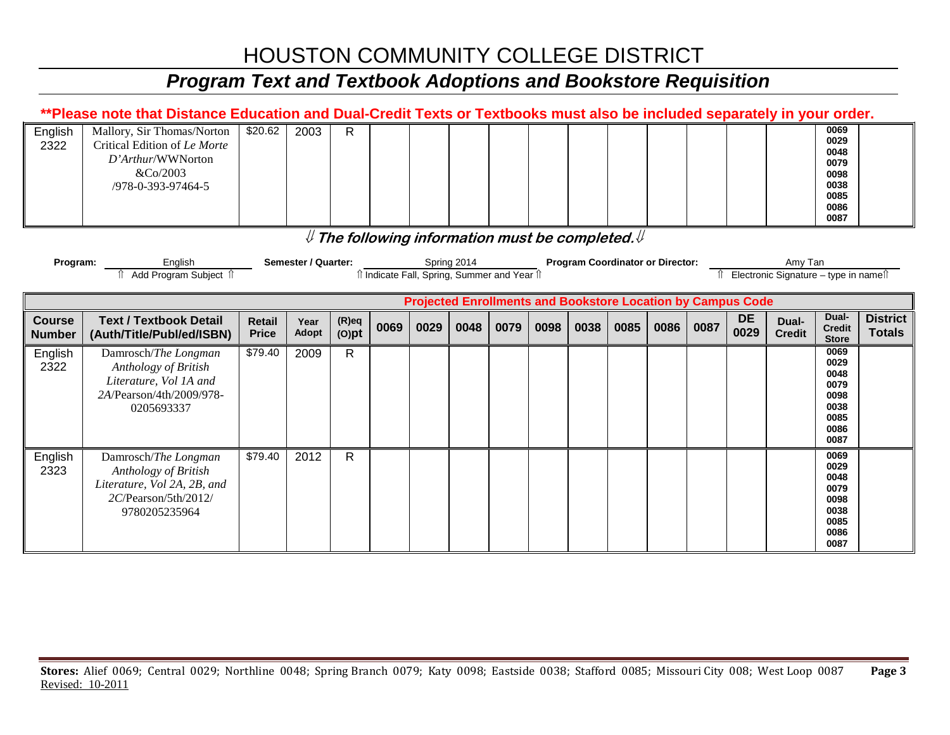### *Program Text and Textbook Adoptions and Bookstore Requisition*

|                                | **Please note that Distance Education and Dual-Credit Texts or Textbooks must also be included separately in your order. |                               |                            |                      |                                                        |      |             |      |      |      |                                         |      |      |                                                                    |                                                   |                                                                      |                                  |
|--------------------------------|--------------------------------------------------------------------------------------------------------------------------|-------------------------------|----------------------------|----------------------|--------------------------------------------------------|------|-------------|------|------|------|-----------------------------------------|------|------|--------------------------------------------------------------------|---------------------------------------------------|----------------------------------------------------------------------|----------------------------------|
| English<br>2322                | Mallory, Sir Thomas/Norton<br>Critical Edition of Le Morte<br>D'Arthur/WWNorton<br>&Co/2003<br>/978-0-393-97464-5        | \$20.62                       | 2003                       | $\mathsf{R}$         |                                                        |      |             |      |      |      |                                         |      |      |                                                                    |                                                   | 0069<br>0029<br>0048<br>0079<br>0098<br>0038<br>0085<br>0086<br>0087 |                                  |
|                                |                                                                                                                          |                               |                            |                      | $\#$ The following information must be completed. $\#$ |      |             |      |      |      |                                         |      |      |                                                                    |                                                   |                                                                      |                                  |
| Program:                       | English<br>Add Program Subject 1                                                                                         |                               | <b>Semester / Quarter:</b> |                      | î Indicate Fall, Spring, Summer and Year î             |      | Spring 2014 |      |      |      | <b>Program Coordinator or Director:</b> |      |      |                                                                    | Amy Tan<br>Î Electronic Signature – type in nameî |                                                                      |                                  |
|                                |                                                                                                                          |                               |                            |                      |                                                        |      |             |      |      |      |                                         |      |      | <b>Projected Enrollments and Bookstore Location by Campus Code</b> |                                                   |                                                                      |                                  |
| <b>Course</b><br><b>Number</b> | <b>Text / Textbook Detail</b><br>(Auth/Title/Publ/ed/ISBN)                                                               | <b>Retail</b><br><b>Price</b> | Year<br>Adopt              | $(R)$ eq<br>$(O)$ pt | 0069                                                   | 0029 | 0048        | 0079 | 0098 | 0038 | 0085                                    | 0086 | 0087 | <b>DE</b><br>0029                                                  | Dual-<br><b>Credit</b>                            | Dual-<br><b>Credit</b><br><b>Store</b>                               | <b>District</b><br><b>Totals</b> |
| English<br>2322                | Damrosch/The Longman<br>Anthology of British<br>Literature, Vol 1A and<br>2A/Pearson/4th/2009/978-<br>0205693337         | \$79.40                       | 2009                       | $\mathsf{R}$         |                                                        |      |             |      |      |      |                                         |      |      |                                                                    |                                                   | 0069<br>0029<br>0048<br>0079<br>0098<br>0038<br>0085<br>0086<br>0087 |                                  |
| English<br>2323                | Damrosch/The Longman<br>Anthology of British<br>Literature, Vol 2A, 2B, and<br>2C/Pearson/5th/2012/<br>9780205235964     | \$79.40                       | 2012                       | $\mathsf{R}$         |                                                        |      |             |      |      |      |                                         |      |      |                                                                    |                                                   | 0069<br>0029<br>0048<br>0079<br>0098<br>0038<br>0085<br>0086<br>0087 |                                  |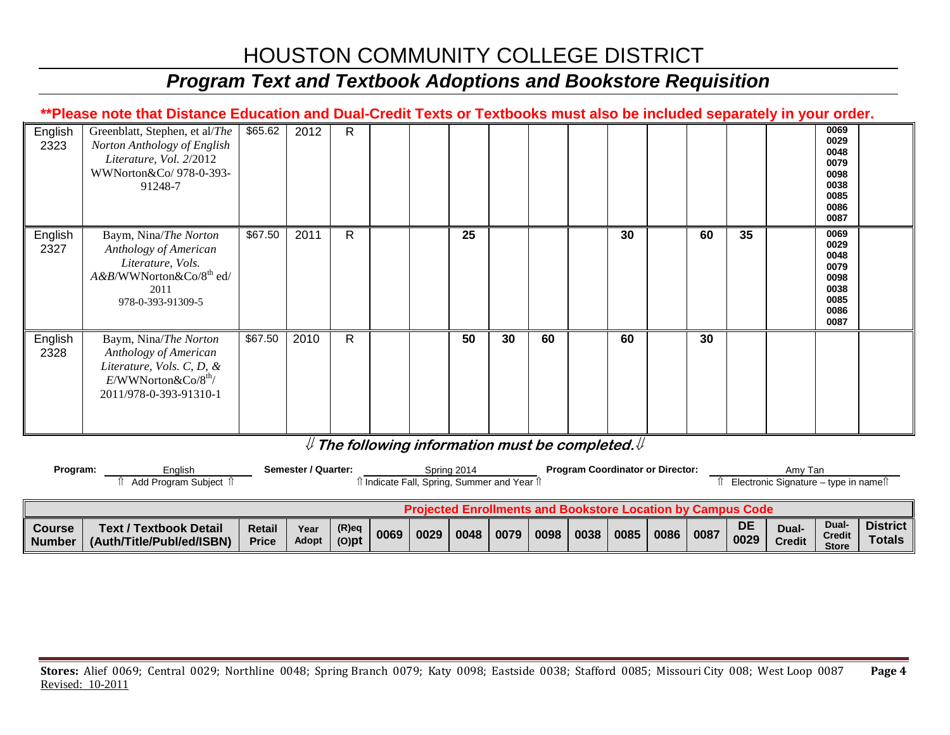#### *Program Text and Textbook Adoptions and Bookstore Requisition*

#### **\*\*Please note that Distance Education and Dual-Credit Texts or Textbooks must also be included separately in your order.**

| English<br>2323 | Greenblatt, Stephen, et al/The<br>Norton Anthology of English<br>Literature, Vol. 2/2012<br>WWNorton&Co/ 978-0-393-<br>91248-7                   | \$65.62 | 2012 | $\mathsf{R}$ |  |    |    |    |    |    |    | 0069<br>0029<br>0048<br>0079<br>0098<br>0038<br>0085<br>0086<br>0087 |  |
|-----------------|--------------------------------------------------------------------------------------------------------------------------------------------------|---------|------|--------------|--|----|----|----|----|----|----|----------------------------------------------------------------------|--|
| English<br>2327 | Baym, Nina/The Norton<br>Anthology of American<br>Literature, Vols.<br>A &B/WWNorton&Co/8 <sup>th</sup> ed/<br>2011<br>978-0-393-91309-5         | \$67.50 | 2011 | $\mathsf{R}$ |  | 25 |    |    | 30 | 60 | 35 | 0069<br>0029<br>0048<br>0079<br>0098<br>0038<br>0085<br>0086<br>0087 |  |
| English<br>2328 | Baym, Nina/The Norton<br>Anthology of American<br>Literature, Vols. C, D, &<br>$E/WW$ Norton $\&$ Co/8 <sup>th</sup> /<br>2011/978-0-393-91310-1 | \$67.50 | 2010 | $\mathsf{R}$ |  | 50 | 30 | 60 | 60 | 30 |    |                                                                      |  |

#### ⇓ **The following information must be completed.**⇓

| Program:         | Enalish<br>Add Program Subject 1                           |                        | Semester / Quarter: |                      |      |                                                                    | Spring 2014<br>î Indicate Fall, Spring, Summer and Year î |      |           | <b>Program Coordinator or Director:</b> |      |      |                   | Amy Tan<br>Electronic Signature – type in names |                                        |                              |
|------------------|------------------------------------------------------------|------------------------|---------------------|----------------------|------|--------------------------------------------------------------------|-----------------------------------------------------------|------|-----------|-----------------------------------------|------|------|-------------------|-------------------------------------------------|----------------------------------------|------------------------------|
|                  |                                                            |                        |                     |                      |      | <b>Projected Enrollments and Bookstore Location by Campus Code</b> |                                                           |      |           |                                         |      |      |                   |                                                 |                                        |                              |
| Course<br>Number | <b>Text / Textbook Detail</b><br>(Auth/Title/Publ/ed/ISBN) | Retail<br><b>Price</b> | Year<br>Adopt       | $(R)$ eq<br>$(O)$ pt | 0069 | 0029                                                               | $0048$ 0079                                               | 0098 | 0038 0085 |                                         | 0086 | 0087 | <b>DE</b><br>0029 | Dual-<br><b>Credit</b>                          | Dual-<br><b>Credit</b><br><b>Store</b> | District   <br><b>Totals</b> |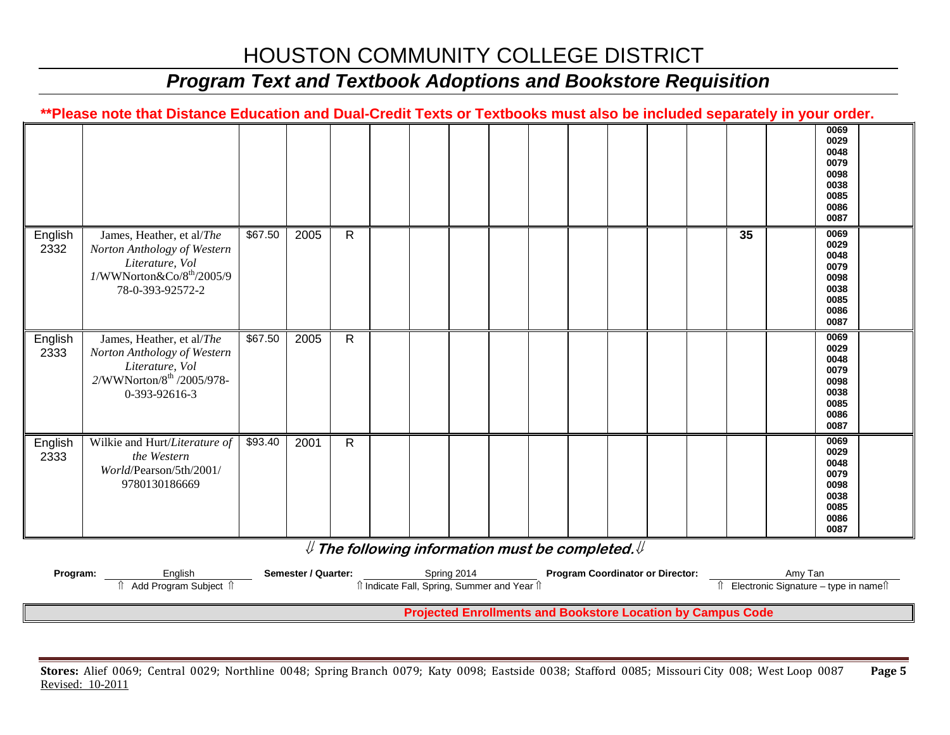### *Program Text and Textbook Adoptions and Bookstore Requisition*

|                 | **Please note that Distance Education and Dual-Credit Texts or Textbooks must also be included separately in your order.                                                |         |      |              |  |  |  |  |    |                                                                      |      |
|-----------------|-------------------------------------------------------------------------------------------------------------------------------------------------------------------------|---------|------|--------------|--|--|--|--|----|----------------------------------------------------------------------|------|
|                 |                                                                                                                                                                         |         |      |              |  |  |  |  |    | 0029<br>0048<br>0079<br>0098<br>0038<br>0085<br>0086<br>0087         | 0069 |
| English<br>2332 | James, Heather, et al/The<br>Norton Anthology of Western<br>Literature, Vol<br>$1/\ensuremath{\text{W} \text{W} \text{N} }$ orton<br>&Co/8th/2005/9<br>78-0-393-92572-2 | \$67.50 | 2005 | $\mathsf{R}$ |  |  |  |  | 35 | 0069<br>0029<br>0048<br>0079<br>0098<br>0038<br>0085<br>0086<br>0087 |      |
| English<br>2333 | James, Heather, et al/The<br>Norton Anthology of Western<br>Literature, Vol<br>2/WWNorton/8 <sup>th</sup> /2005/978-<br>0-393-92616-3                                   | \$67.50 | 2005 | $\mathsf{R}$ |  |  |  |  |    | 0069<br>0029<br>0048<br>0079<br>0098<br>0038<br>0085<br>0086<br>0087 |      |
| English<br>2333 | Wilkie and Hurt/Literature of<br>the Western<br>World/Pearson/5th/2001/<br>9780130186669                                                                                | \$93.40 | 2001 | $\mathsf{R}$ |  |  |  |  |    | 0069<br>0029<br>0048<br>0079<br>0098<br>0038<br>0085<br>0086<br>0087 |      |

⇓ **The following information must be completed.**⇓

| Program: | Enalish               | Semester / Quarter: | Spring 2014                                | <b>Program Coordinator or Director:</b>                             | Amv Tan                              |
|----------|-----------------------|---------------------|--------------------------------------------|---------------------------------------------------------------------|--------------------------------------|
|          | Add Program Subject 1 |                     | Ⅱ Indicate Fall, Spring, Summer and Year Ⅱ |                                                                     | Electronic Signature – type in names |
|          |                       |                     |                                            |                                                                     |                                      |
|          |                       |                     |                                            | <b>Droipeted Enrollments and Replystore Location by Campus Code</b> |                                      |

 **Projected Enrollments and Bookstore Location by Campus Code**

**Stores:** Alief 0069; Central 0029; Northline 0048; Spring Branch 0079; Katy 0098; Eastside 0038; Stafford 0085; Missouri City 008; West Loop 0087 **Page 5** Revised: 10-2011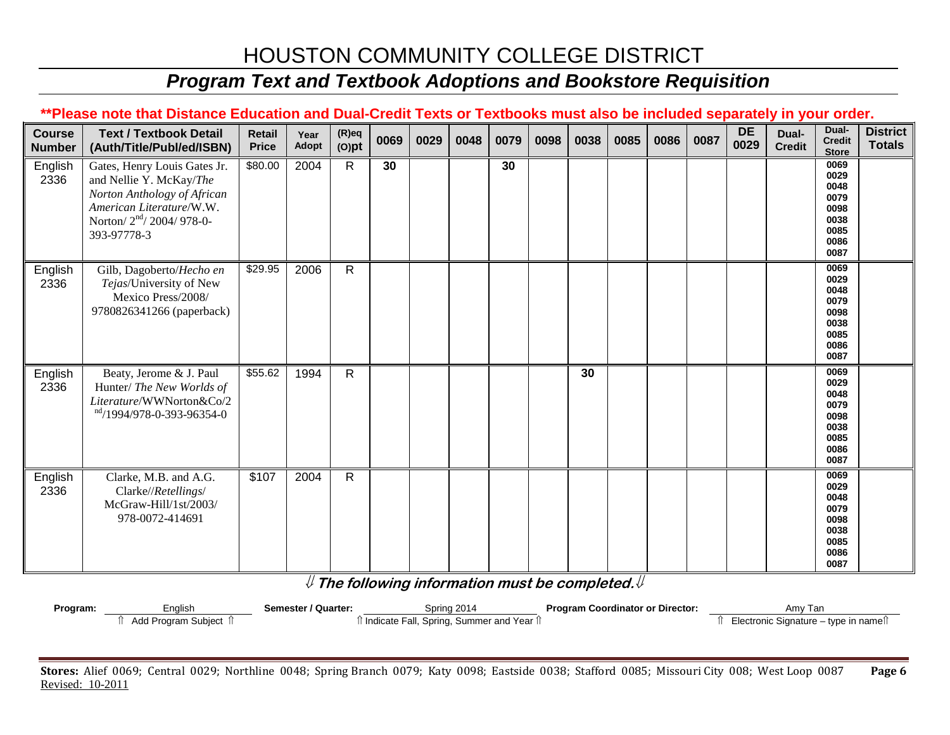#### *Program Text and Textbook Adoptions and Bookstore Requisition*

#### **\*\*Please note that Distance Education and Dual-Credit Texts or Textbooks must also be included separately in your order.**

| <b>Course</b><br><b>Number</b> | <b>Text / Textbook Detail</b><br>(Auth/Title/Publ/ed/ISBN)                                                                                                                  | <b>Retail</b><br><b>Price</b> | Year<br>Adopt | $(R)$ eq<br>$(O)$ pt | 0069 | 0029 | 0048 | 0079 | 0098 | 0038 | 0085 | 0086 | 0087 | <b>DE</b><br>0029 | Dual-<br><b>Credit</b> | Dual-<br><b>Credit</b><br><b>Store</b>                               | <b>District</b><br><b>Totals</b> |
|--------------------------------|-----------------------------------------------------------------------------------------------------------------------------------------------------------------------------|-------------------------------|---------------|----------------------|------|------|------|------|------|------|------|------|------|-------------------|------------------------|----------------------------------------------------------------------|----------------------------------|
| English<br>2336                | Gates, Henry Louis Gates Jr.<br>and Nellie Y. McKay/The<br>Norton Anthology of African<br>American Literature/W.W.<br>Norton/ 2 <sup>nd</sup> / 2004/ 978-0-<br>393-97778-3 | \$80.00                       | 2004          | $\mathsf{R}$         | 30   |      |      | 30   |      |      |      |      |      |                   |                        | 0069<br>0029<br>0048<br>0079<br>0098<br>0038<br>0085<br>0086<br>0087 |                                  |
| English<br>2336                | Gilb, Dagoberto/Hecho en<br>Tejas/University of New<br>Mexico Press/2008/<br>9780826341266 (paperback)                                                                      | \$29.95                       | 2006          | $\mathsf{R}$         |      |      |      |      |      |      |      |      |      |                   |                        | 0069<br>0029<br>0048<br>0079<br>0098<br>0038<br>0085<br>0086<br>0087 |                                  |
| English<br>2336                | Beaty, Jerome & J. Paul<br>Hunter/ The New Worlds of<br>Literature/WWNorton&Co/2<br>$\frac{\text{nd}}{1994/978}$ -0-393-96354-0                                             | \$55.62                       | 1994          | $\mathsf{R}$         |      |      |      |      |      | 30   |      |      |      |                   |                        | 0069<br>0029<br>0048<br>0079<br>0098<br>0038<br>0085<br>0086<br>0087 |                                  |
| English<br>2336                | Clarke, M.B. and A.G.<br>Clarke//Retellings/<br>McGraw-Hill/1st/2003/<br>978-0072-414691                                                                                    | \$107                         | 2004          | $\mathsf{R}$         |      |      |      |      |      |      |      |      |      |                   |                        | 0069<br>0029<br>0048<br>0079<br>0098<br>0038<br>0085<br>0086<br>0087 |                                  |

⇓ **The following information must be completed.**⇓

| Program: | nalish              | Semester / Quarter: | Spring 2014                                 | <b>Program Coordinator or Director:</b> | Amv Ian                               |
|----------|---------------------|---------------------|---------------------------------------------|-----------------------------------------|---------------------------------------|
|          | Add Program Subject |                     | । Indicate Fall, Spring, Summer and Year 1। |                                         | Electronic Signature – type in namell |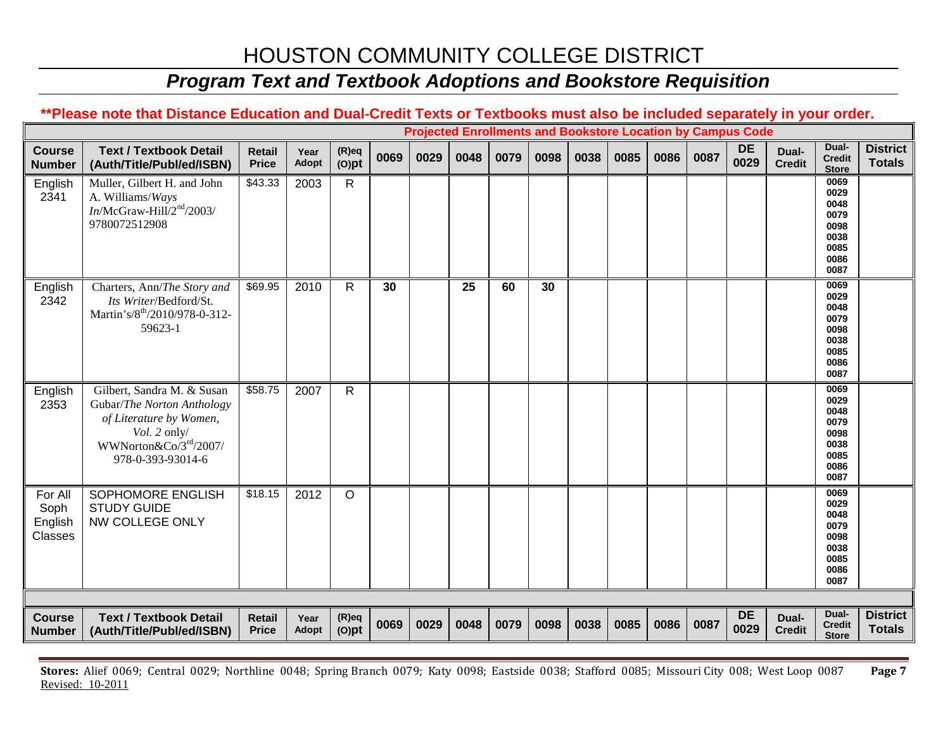## *Program Text and Textbook Adoptions and Bookstore Requisition*

#### **\*\*Please note that Distance Education and Dual-Credit Texts or Textbooks must also be included separately in your order.**

|                                       |                                                                                                                                                   |                               |               |                      |      |      |      |      |      |      |      |      |      | <b>Projected Enrollments and Bookstore Location by Campus Code</b> |                        |                                                                      |                                  |
|---------------------------------------|---------------------------------------------------------------------------------------------------------------------------------------------------|-------------------------------|---------------|----------------------|------|------|------|------|------|------|------|------|------|--------------------------------------------------------------------|------------------------|----------------------------------------------------------------------|----------------------------------|
| <b>Course</b><br><b>Number</b>        | <b>Text / Textbook Detail</b><br>(Auth/Title/Publ/ed/ISBN)                                                                                        | <b>Retail</b><br><b>Price</b> | Year<br>Adopt | $(R)$ eq<br>$(O)$ pt | 0069 | 0029 | 0048 | 0079 | 0098 | 0038 | 0085 | 0086 | 0087 | <b>DE</b><br>0029                                                  | Dual-<br><b>Credit</b> | Dual-<br><b>Credit</b><br><b>Store</b>                               | <b>District</b><br><b>Totals</b> |
| English<br>2341                       | Muller, Gilbert H. and John<br>A. Williams/Ways<br>$In/McGraw-Hill/2nd/2003/$<br>9780072512908                                                    | \$43.33                       | 2003          | $\mathsf{R}$         |      |      |      |      |      |      |      |      |      |                                                                    |                        | 0069<br>0029<br>0048<br>0079<br>0098<br>0038<br>0085<br>0086<br>0087 |                                  |
| English<br>2342                       | Charters, Ann/The Story and<br>Its Writer/Bedford/St.<br>Martin's/8 <sup>th</sup> /2010/978-0-312-<br>59623-1                                     | \$69.95                       | 2010          | R                    | 30   |      | 25   | 60   | 30   |      |      |      |      |                                                                    |                        | 0069<br>0029<br>0048<br>0079<br>0098<br>0038<br>0085<br>0086<br>0087 |                                  |
| English<br>2353                       | Gilbert, Sandra M. & Susan<br>Gubar/The Norton Anthology<br>of Literature by Women,<br>Vol. 2 only/<br>WWNorton&Co/3rd/2007/<br>978-0-393-93014-6 | \$58.75                       | 2007          | $\mathsf{R}$         |      |      |      |      |      |      |      |      |      |                                                                    |                        | 0069<br>0029<br>0048<br>0079<br>0098<br>0038<br>0085<br>0086<br>0087 |                                  |
| For All<br>Soph<br>English<br>Classes | SOPHOMORE ENGLISH<br><b>STUDY GUIDE</b><br>NW COLLEGE ONLY                                                                                        | \$18.15                       | 2012          | $\circ$              |      |      |      |      |      |      |      |      |      |                                                                    |                        | 0069<br>0029<br>0048<br>0079<br>0098<br>0038<br>0085<br>0086<br>0087 |                                  |
|                                       |                                                                                                                                                   |                               |               |                      |      |      |      |      |      |      |      |      |      |                                                                    |                        |                                                                      |                                  |
| <b>Course</b><br><b>Number</b>        | <b>Text / Textbook Detail</b><br>(Auth/Title/Publ/ed/ISBN)                                                                                        | <b>Retail</b><br><b>Price</b> | Year<br>Adopt | $(R)$ eq<br>$(O)$ pt | 0069 | 0029 | 0048 | 0079 | 0098 | 0038 | 0085 | 0086 | 0087 | <b>DE</b><br>0029                                                  | Dual-<br><b>Credit</b> | Dual-<br><b>Credit</b><br><b>Store</b>                               | <b>District</b><br><b>Totals</b> |

**Stores:** Alief 0069; Central 0029; Northline 0048; Spring Branch 0079; Katy 0098; Eastside 0038; Stafford 0085; Missouri City 008; West Loop 0087 **Page 7** Revised: 10-2011